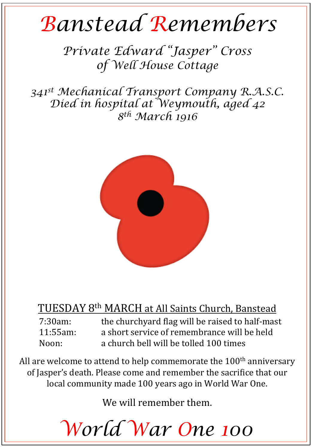## *Banstead Remembers*

*Private Edward "Jasper" Cross of Well House Cottage* 

*341st Mechanical Transport Company R.A.S.C. Died in hospital at Weymouth, aged 42 8th March 1916* 



## TUESDAY 8<sup>th</sup> MARCH at All Saints Church, Banstead

7:30am: the churchyard flag will be raised to half-mast 11:55am: a short service of remembrance will be held Noon: a church bell will be tolled 100 times

All are welcome to attend to help commemorate the  $100<sup>th</sup>$  anniversary of Jasper's death. Please come and remember the sacrifice that our local community made 100 years ago in World War One.

We will remember them.

*World War One 100*